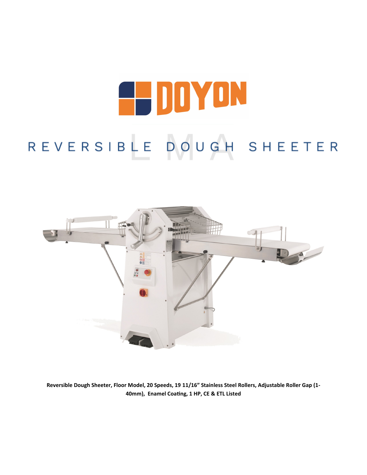# **A DOYON** REVERSIBLE DOUGH SHEETER



**Reversible Dough Sheeter, Floor Model, 20 Speeds, 19 11/16" Stainless Steel Rollers, Adjustable Roller Gap (1- 40mm), Enamel Coating, 1 HP, CE & ETL Listed**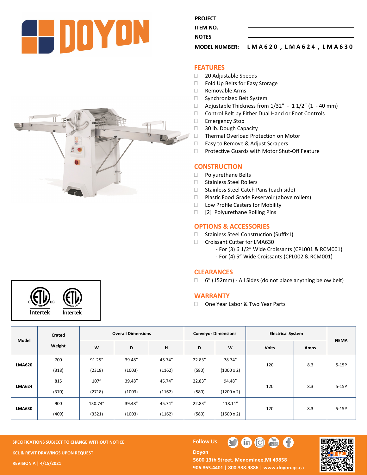

**PROJECT ITEM NO. NOTES** 

**MODEL NUMBER: L M A 6 2 0 , L M A 6 2 4 , L M A 6 3 0** 

#### **FEATURES**

- □ 20 Adjustable Speeds
- □ Fold Up Belts for Easy Storage
- $\Box$  Removable Arms
- □ Synchronized Belt System
- $\Box$  Adjustable Thickness from 1/32" 1 1/2" (1 40 mm)
- □ Control Belt by Either Dual Hand or Foot Controls
- □ Emergency Stop
- 30 lb. Dough Capacity
- □ Thermal Overload Protection on Motor
- □ Easy to Remove & Adjust Scrapers
- □ Protective Guards with Motor Shut-Off Feature

#### **CONSTRUCTION**

- D Polyurethane Belts
- □ Stainless Steel Rollers
- □ Stainless Steel Catch Pans (each side)
- □ Plastic Food Grade Reservoir (above rollers)
- □ Low Profile Casters for Mobility
- [2] Polyurethane Rolling Pins

## **OPTIONS & ACCESSORIES**

- □ Stainless Steel Construction (Suffix I)
- Croissant Cutter for LMA630
	- For (3) 6 1/2" Wide Croissants (CPL001 & RCM001)
	- For (4) 5" Wide Croissants (CPL002 & RCM001)

## **CLEARANCES**

6" (152mm) - All Sides (do not place anything below belt)

#### **WARRANTY**

□ One Year Labor & Two Year Parts

| Model         | Crated<br>Weight | <b>Overall Dimensions</b> |        |        | <b>Conveyor Dimensions</b> |                   | <b>Electrical System</b> |      |             |
|---------------|------------------|---------------------------|--------|--------|----------------------------|-------------------|--------------------------|------|-------------|
|               |                  | W                         | D      | н      | D                          | W                 | <b>Volts</b>             | Amps | <b>NEMA</b> |
| <b>LMA620</b> | 700              | 91.25"                    | 39.48" | 45.74" | 22.83"                     | 78.74"            | 120                      | 8.3  | $5-15P$     |
|               | (318)            | (2318)                    | (1003) | (1162) | (580)                      | $(1000 \times 2)$ |                          |      |             |
| <b>LMA624</b> | 815              | 107"                      | 39.48" | 45.74" | 22.83"                     | 94.48"            | 120                      | 8.3  | $5-15P$     |
|               | (370)            | (2718)                    | (1003) | (1162) | (580)                      | $(1200 \times 2)$ |                          |      |             |
| <b>LMA630</b> | 900              | 130.74"                   | 39.48" | 45.74" | 22.83"                     | 118.11"           | 120                      | 8.3  | $5-15P$     |
|               | (409)            | (3321)                    | (1003) | (1162) | (580)                      | $(1500 \times 2)$ |                          |      |             |

**SPECIFICATIONS SUBJECT TO CHANGE WITHOUT NOTICE Follow Use The Follow Use The Follow Use The Follow Use The Follow Use The Follow Use The Follow Use The Follow Use The Follow Use The Follow Use The Follow Use The Follow KCL & REVIT DRAWINGS UPON REQUEST REVISION A | 4/15/2021**

**Doyon** 



## 5600 13th Street, Menominee, MI 49858 **906.863.4401 | 800.338.9886 | [www.doyon.qc.ca](http://www.doyon.qc.ca/)**

 $\blacksquare$  $\blacksquare$ 



Intertek